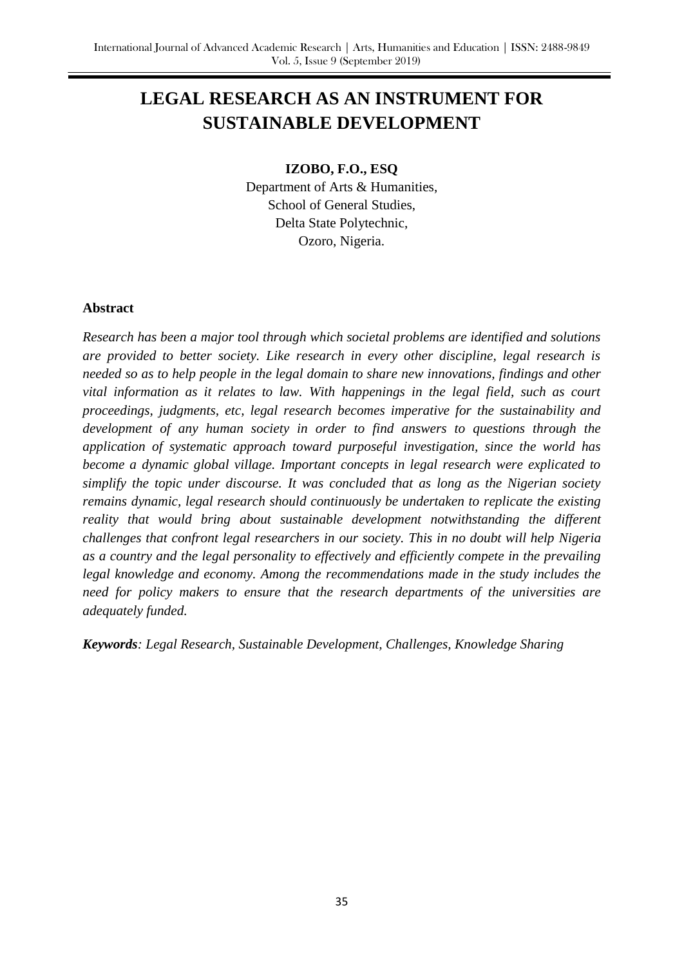# **LEGAL RESEARCH AS AN INSTRUMENT FOR SUSTAINABLE DEVELOPMENT**

## **IZOBO, F.O., ESQ**

Department of Arts & Humanities, School of General Studies, Delta State Polytechnic, Ozoro, Nigeria.

### **Abstract**

*Research has been a major tool through which societal problems are identified and solutions are provided to better society. Like research in every other discipline, legal research is needed so as to help people in the legal domain to share new innovations, findings and other vital information as it relates to law. With happenings in the legal field, such as court proceedings, judgments, etc, legal research becomes imperative for the sustainability and development of any human society in order to find answers to questions through the application of systematic approach toward purposeful investigation, since the world has become a dynamic global village. Important concepts in legal research were explicated to simplify the topic under discourse. It was concluded that as long as the Nigerian society remains dynamic, legal research should continuously be undertaken to replicate the existing reality that would bring about sustainable development notwithstanding the different challenges that confront legal researchers in our society. This in no doubt will help Nigeria as a country and the legal personality to effectively and efficiently compete in the prevailing legal knowledge and economy. Among the recommendations made in the study includes the need for policy makers to ensure that the research departments of the universities are adequately funded.*

*Keywords: Legal Research, Sustainable Development, Challenges, Knowledge Sharing*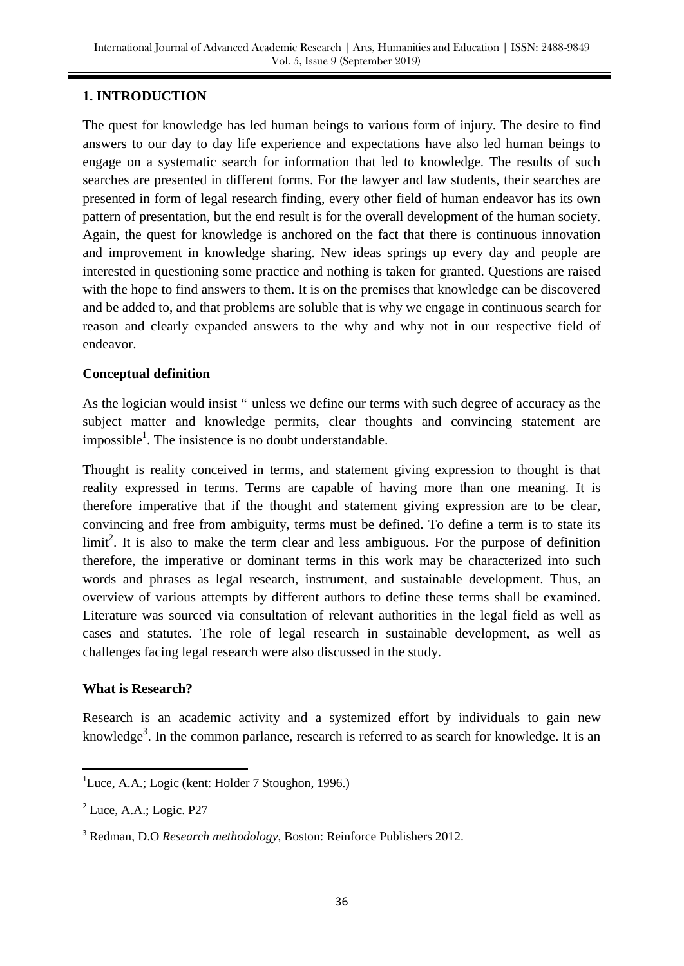# **1. INTRODUCTION**

The quest for knowledge has led human beings to various form of injury. The desire to find answers to our day to day life experience and expectations have also led human beings to engage on a systematic search for information that led to knowledge. The results of such searches are presented in different forms. For the lawyer and law students, their searches are presented in form of legal research finding, every other field of human endeavor has its own pattern of presentation, but the end result is for the overall development of the human society. Again, the quest for knowledge is anchored on the fact that there is continuous innovation and improvement in knowledge sharing. New ideas springs up every day and people are interested in questioning some practice and nothing is taken for granted. Questions are raised with the hope to find answers to them. It is on the premises that knowledge can be discovered and be added to, and that problems are soluble that is why we engage in continuous search for reason and clearly expanded answers to the why and why not in our respective field of endeavor.

## **Conceptual definition**

As the logician would insist " unless we define our terms with such degree of accuracy as the subject matter and knowledge permits, clear thoughts and convincing statement are impossible<sup>1</sup>. The insistence is no doubt understandable.

Thought is reality conceived in terms, and statement giving expression to thought is that reality expressed in terms. Terms are capable of having more than one meaning. It is therefore imperative that if the thought and statement giving expression are to be clear, convincing and free from ambiguity, terms must be defined. To define a term is to state its  $limit<sup>2</sup>$ . It is also to make the term clear and less ambiguous. For the purpose of definition therefore, the imperative or dominant terms in this work may be characterized into such words and phrases as legal research, instrument, and sustainable development. Thus, an overview of various attempts by different authors to define these terms shall be examined. Literature was sourced via consultation of relevant authorities in the legal field as well as cases and statutes. The role of legal research in sustainable development, as well as challenges facing legal research were also discussed in the study.

#### **What is Research?**

Research is an academic activity and a systemized effort by individuals to gain new knowledge<sup>3</sup>. In the common parlance, research is referred to as search for knowledge. It is an

**.** 

<sup>&</sup>lt;sup>1</sup>Luce, A.A.; Logic (kent: Holder 7 Stoughon, 1996.)

<sup>&</sup>lt;sup>2</sup> Luce, A.A.; Logic. P27

<sup>3</sup> Redman, D.O *Research methodology*, Boston: Reinforce Publishers 2012.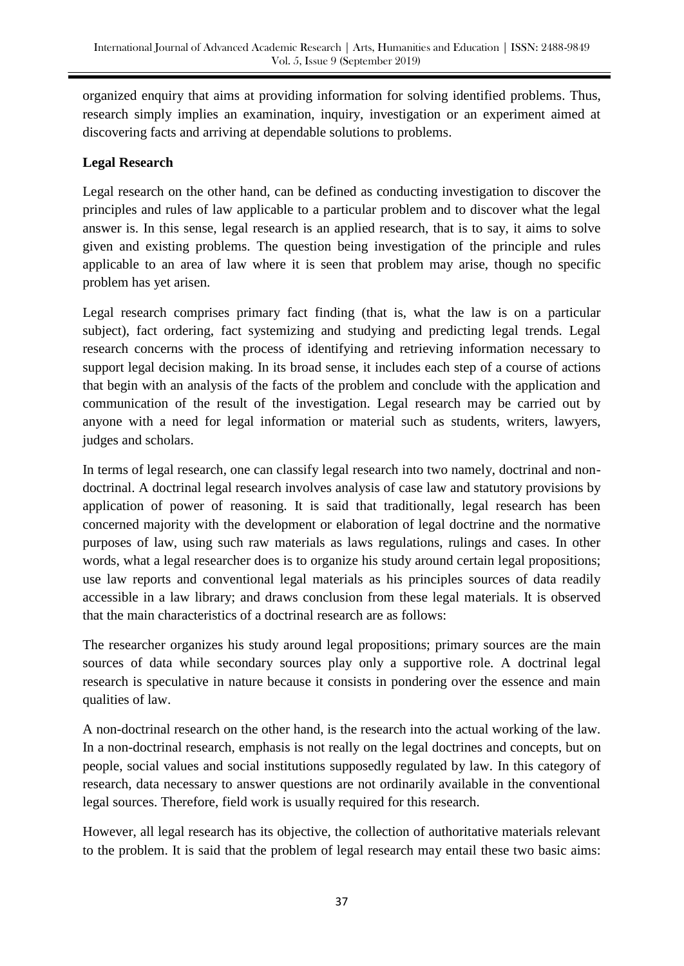organized enquiry that aims at providing information for solving identified problems. Thus, research simply implies an examination, inquiry, investigation or an experiment aimed at discovering facts and arriving at dependable solutions to problems.

# **Legal Research**

Legal research on the other hand, can be defined as conducting investigation to discover the principles and rules of law applicable to a particular problem and to discover what the legal answer is. In this sense, legal research is an applied research, that is to say, it aims to solve given and existing problems. The question being investigation of the principle and rules applicable to an area of law where it is seen that problem may arise, though no specific problem has yet arisen.

Legal research comprises primary fact finding (that is, what the law is on a particular subject), fact ordering, fact systemizing and studying and predicting legal trends. Legal research concerns with the process of identifying and retrieving information necessary to support legal decision making. In its broad sense, it includes each step of a course of actions that begin with an analysis of the facts of the problem and conclude with the application and communication of the result of the investigation. Legal research may be carried out by anyone with a need for legal information or material such as students, writers, lawyers, judges and scholars.

In terms of legal research, one can classify legal research into two namely, doctrinal and nondoctrinal. A doctrinal legal research involves analysis of case law and statutory provisions by application of power of reasoning. It is said that traditionally, legal research has been concerned majority with the development or elaboration of legal doctrine and the normative purposes of law, using such raw materials as laws regulations, rulings and cases. In other words, what a legal researcher does is to organize his study around certain legal propositions; use law reports and conventional legal materials as his principles sources of data readily accessible in a law library; and draws conclusion from these legal materials. It is observed that the main characteristics of a doctrinal research are as follows:

The researcher organizes his study around legal propositions; primary sources are the main sources of data while secondary sources play only a supportive role. A doctrinal legal research is speculative in nature because it consists in pondering over the essence and main qualities of law.

A non-doctrinal research on the other hand, is the research into the actual working of the law. In a non-doctrinal research, emphasis is not really on the legal doctrines and concepts, but on people, social values and social institutions supposedly regulated by law. In this category of research, data necessary to answer questions are not ordinarily available in the conventional legal sources. Therefore, field work is usually required for this research.

However, all legal research has its objective, the collection of authoritative materials relevant to the problem. It is said that the problem of legal research may entail these two basic aims: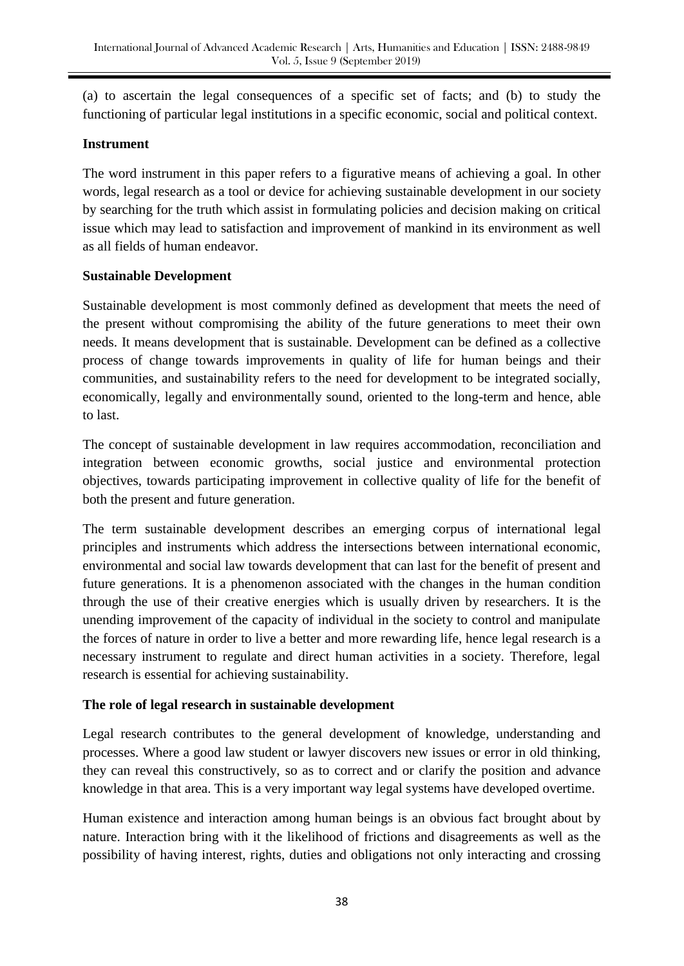(a) to ascertain the legal consequences of a specific set of facts; and (b) to study the functioning of particular legal institutions in a specific economic, social and political context.

## **Instrument**

The word instrument in this paper refers to a figurative means of achieving a goal. In other words, legal research as a tool or device for achieving sustainable development in our society by searching for the truth which assist in formulating policies and decision making on critical issue which may lead to satisfaction and improvement of mankind in its environment as well as all fields of human endeavor.

# **Sustainable Development**

Sustainable development is most commonly defined as development that meets the need of the present without compromising the ability of the future generations to meet their own needs. It means development that is sustainable. Development can be defined as a collective process of change towards improvements in quality of life for human beings and their communities, and sustainability refers to the need for development to be integrated socially, economically, legally and environmentally sound, oriented to the long-term and hence, able to last.

The concept of sustainable development in law requires accommodation, reconciliation and integration between economic growths, social justice and environmental protection objectives, towards participating improvement in collective quality of life for the benefit of both the present and future generation.

The term sustainable development describes an emerging corpus of international legal principles and instruments which address the intersections between international economic, environmental and social law towards development that can last for the benefit of present and future generations. It is a phenomenon associated with the changes in the human condition through the use of their creative energies which is usually driven by researchers. It is the unending improvement of the capacity of individual in the society to control and manipulate the forces of nature in order to live a better and more rewarding life, hence legal research is a necessary instrument to regulate and direct human activities in a society. Therefore, legal research is essential for achieving sustainability.

# **The role of legal research in sustainable development**

Legal research contributes to the general development of knowledge, understanding and processes. Where a good law student or lawyer discovers new issues or error in old thinking, they can reveal this constructively, so as to correct and or clarify the position and advance knowledge in that area. This is a very important way legal systems have developed overtime.

Human existence and interaction among human beings is an obvious fact brought about by nature. Interaction bring with it the likelihood of frictions and disagreements as well as the possibility of having interest, rights, duties and obligations not only interacting and crossing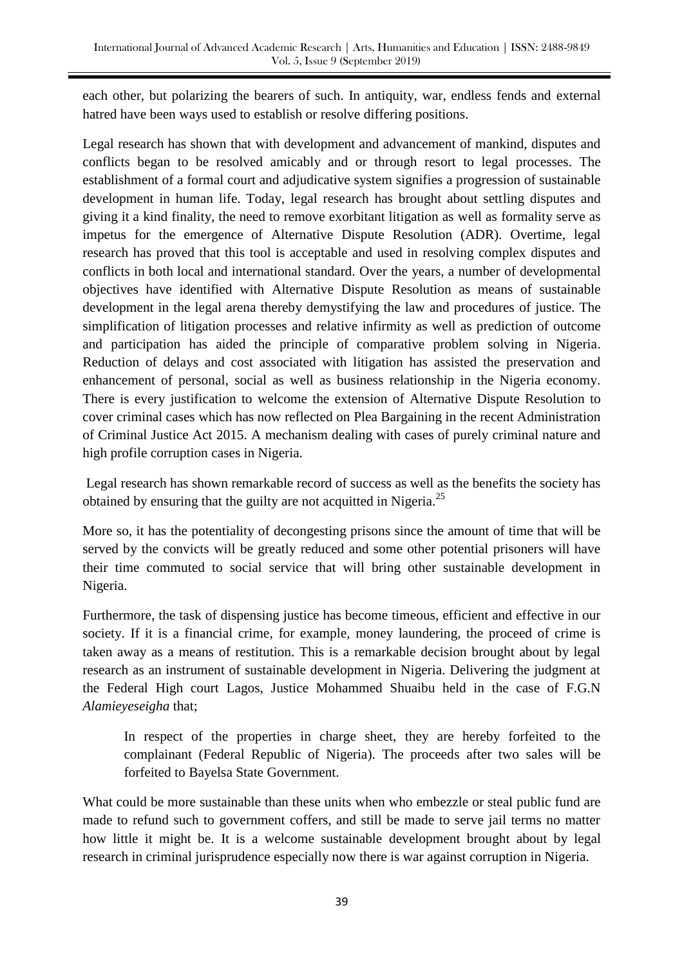each other, but polarizing the bearers of such. In antiquity, war, endless fends and external hatred have been ways used to establish or resolve differing positions.

Legal research has shown that with development and advancement of mankind, disputes and conflicts began to be resolved amicably and or through resort to legal processes. The establishment of a formal court and adjudicative system signifies a progression of sustainable development in human life. Today, legal research has brought about settling disputes and giving it a kind finality, the need to remove exorbitant litigation as well as formality serve as impetus for the emergence of Alternative Dispute Resolution (ADR). Overtime, legal research has proved that this tool is acceptable and used in resolving complex disputes and conflicts in both local and international standard. Over the years, a number of developmental objectives have identified with Alternative Dispute Resolution as means of sustainable development in the legal arena thereby demystifying the law and procedures of justice. The simplification of litigation processes and relative infirmity as well as prediction of outcome and participation has aided the principle of comparative problem solving in Nigeria. Reduction of delays and cost associated with litigation has assisted the preservation and enhancement of personal, social as well as business relationship in the Nigeria economy. There is every justification to welcome the extension of Alternative Dispute Resolution to cover criminal cases which has now reflected on Plea Bargaining in the recent Administration of Criminal Justice Act 2015. A mechanism dealing with cases of purely criminal nature and high profile corruption cases in Nigeria.

Legal research has shown remarkable record of success as well as the benefits the society has obtained by ensuring that the guilty are not acquitted in Nigeria.<sup>25</sup>

More so, it has the potentiality of decongesting prisons since the amount of time that will be served by the convicts will be greatly reduced and some other potential prisoners will have their time commuted to social service that will bring other sustainable development in Nigeria.

Furthermore, the task of dispensing justice has become timeous, efficient and effective in our society. If it is a financial crime, for example, money laundering, the proceed of crime is taken away as a means of restitution. This is a remarkable decision brought about by legal research as an instrument of sustainable development in Nigeria. Delivering the judgment at the Federal High court Lagos, Justice Mohammed Shuaibu held in the case of F.G.N *Alamieyeseigha* that;

In respect of the properties in charge sheet, they are hereby forfeited to the complainant (Federal Republic of Nigeria). The proceeds after two sales will be forfeited to Bayelsa State Government.

What could be more sustainable than these units when who embezzle or steal public fund are made to refund such to government coffers, and still be made to serve jail terms no matter how little it might be. It is a welcome sustainable development brought about by legal research in criminal jurisprudence especially now there is war against corruption in Nigeria.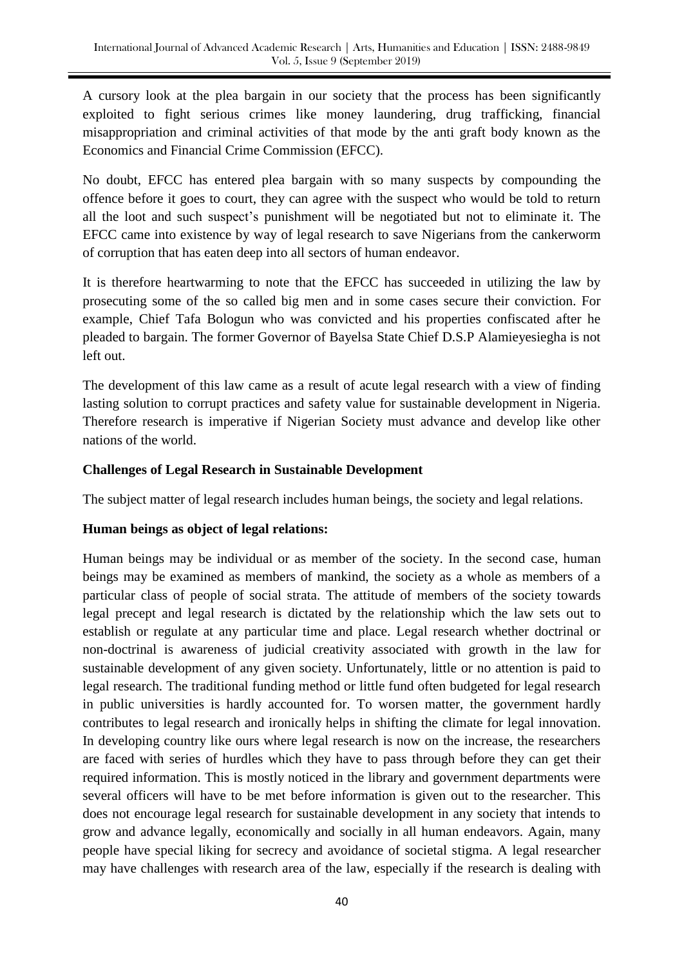A cursory look at the plea bargain in our society that the process has been significantly exploited to fight serious crimes like money laundering, drug trafficking, financial misappropriation and criminal activities of that mode by the anti graft body known as the Economics and Financial Crime Commission (EFCC).

No doubt, EFCC has entered plea bargain with so many suspects by compounding the offence before it goes to court, they can agree with the suspect who would be told to return all the loot and such suspect's punishment will be negotiated but not to eliminate it. The EFCC came into existence by way of legal research to save Nigerians from the cankerworm of corruption that has eaten deep into all sectors of human endeavor.

It is therefore heartwarming to note that the EFCC has succeeded in utilizing the law by prosecuting some of the so called big men and in some cases secure their conviction. For example, Chief Tafa Bologun who was convicted and his properties confiscated after he pleaded to bargain. The former Governor of Bayelsa State Chief D.S.P Alamieyesiegha is not left out.

The development of this law came as a result of acute legal research with a view of finding lasting solution to corrupt practices and safety value for sustainable development in Nigeria. Therefore research is imperative if Nigerian Society must advance and develop like other nations of the world.

# **Challenges of Legal Research in Sustainable Development**

The subject matter of legal research includes human beings, the society and legal relations.

# **Human beings as object of legal relations:**

Human beings may be individual or as member of the society. In the second case, human beings may be examined as members of mankind, the society as a whole as members of a particular class of people of social strata. The attitude of members of the society towards legal precept and legal research is dictated by the relationship which the law sets out to establish or regulate at any particular time and place. Legal research whether doctrinal or non-doctrinal is awareness of judicial creativity associated with growth in the law for sustainable development of any given society. Unfortunately, little or no attention is paid to legal research. The traditional funding method or little fund often budgeted for legal research in public universities is hardly accounted for. To worsen matter, the government hardly contributes to legal research and ironically helps in shifting the climate for legal innovation. In developing country like ours where legal research is now on the increase, the researchers are faced with series of hurdles which they have to pass through before they can get their required information. This is mostly noticed in the library and government departments were several officers will have to be met before information is given out to the researcher. This does not encourage legal research for sustainable development in any society that intends to grow and advance legally, economically and socially in all human endeavors. Again, many people have special liking for secrecy and avoidance of societal stigma. A legal researcher may have challenges with research area of the law, especially if the research is dealing with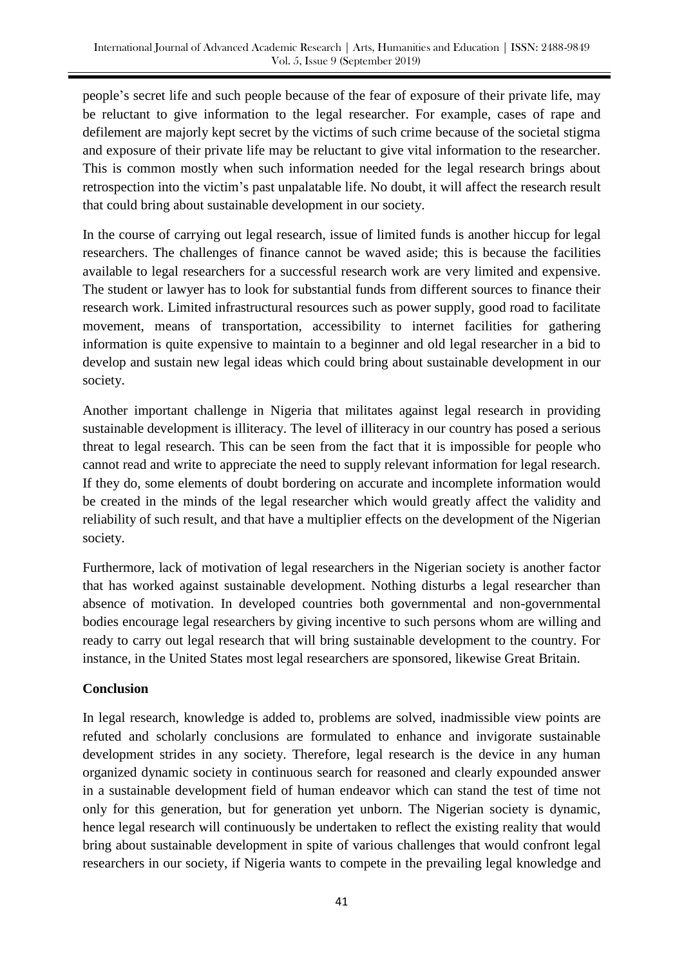people's secret life and such people because of the fear of exposure of their private life, may be reluctant to give information to the legal researcher. For example, cases of rape and defilement are majorly kept secret by the victims of such crime because of the societal stigma and exposure of their private life may be reluctant to give vital information to the researcher. This is common mostly when such information needed for the legal research brings about retrospection into the victim's past unpalatable life. No doubt, it will affect the research result that could bring about sustainable development in our society.

In the course of carrying out legal research, issue of limited funds is another hiccup for legal researchers. The challenges of finance cannot be waved aside; this is because the facilities available to legal researchers for a successful research work are very limited and expensive. The student or lawyer has to look for substantial funds from different sources to finance their research work. Limited infrastructural resources such as power supply, good road to facilitate movement, means of transportation, accessibility to internet facilities for gathering information is quite expensive to maintain to a beginner and old legal researcher in a bid to develop and sustain new legal ideas which could bring about sustainable development in our society.

Another important challenge in Nigeria that militates against legal research in providing sustainable development is illiteracy. The level of illiteracy in our country has posed a serious threat to legal research. This can be seen from the fact that it is impossible for people who cannot read and write to appreciate the need to supply relevant information for legal research. If they do, some elements of doubt bordering on accurate and incomplete information would be created in the minds of the legal researcher which would greatly affect the validity and reliability of such result, and that have a multiplier effects on the development of the Nigerian society.

Furthermore, lack of motivation of legal researchers in the Nigerian society is another factor that has worked against sustainable development. Nothing disturbs a legal researcher than absence of motivation. In developed countries both governmental and non-governmental bodies encourage legal researchers by giving incentive to such persons whom are willing and ready to carry out legal research that will bring sustainable development to the country. For instance, in the United States most legal researchers are sponsored, likewise Great Britain.

# **Conclusion**

In legal research, knowledge is added to, problems are solved, inadmissible view points are refuted and scholarly conclusions are formulated to enhance and invigorate sustainable development strides in any society. Therefore, legal research is the device in any human organized dynamic society in continuous search for reasoned and clearly expounded answer in a sustainable development field of human endeavor which can stand the test of time not only for this generation, but for generation yet unborn. The Nigerian society is dynamic, hence legal research will continuously be undertaken to reflect the existing reality that would bring about sustainable development in spite of various challenges that would confront legal researchers in our society, if Nigeria wants to compete in the prevailing legal knowledge and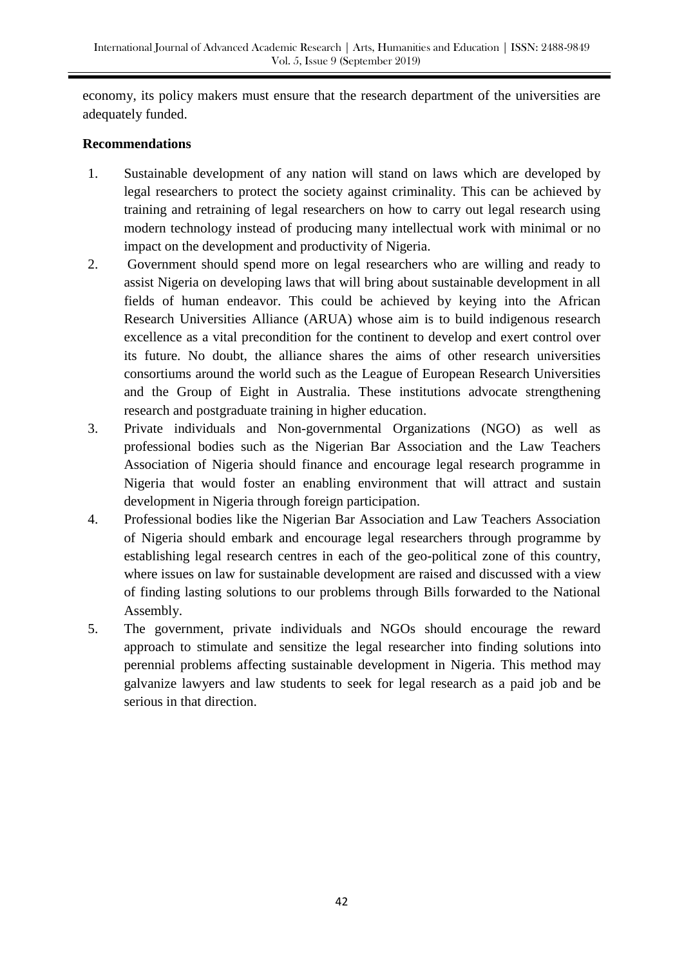economy, its policy makers must ensure that the research department of the universities are adequately funded.

## **Recommendations**

- 1. Sustainable development of any nation will stand on laws which are developed by legal researchers to protect the society against criminality. This can be achieved by training and retraining of legal researchers on how to carry out legal research using modern technology instead of producing many intellectual work with minimal or no impact on the development and productivity of Nigeria.
- 2. Government should spend more on legal researchers who are willing and ready to assist Nigeria on developing laws that will bring about sustainable development in all fields of human endeavor. This could be achieved by keying into the African Research Universities Alliance (ARUA) whose aim is to build indigenous research excellence as a vital precondition for the continent to develop and exert control over its future. No doubt, the alliance shares the aims of other research universities consortiums around the world such as the League of European Research Universities and the Group of Eight in Australia. These institutions advocate strengthening research and postgraduate training in higher education.
- 3. Private individuals and Non-governmental Organizations (NGO) as well as professional bodies such as the Nigerian Bar Association and the Law Teachers Association of Nigeria should finance and encourage legal research programme in Nigeria that would foster an enabling environment that will attract and sustain development in Nigeria through foreign participation.
- 4. Professional bodies like the Nigerian Bar Association and Law Teachers Association of Nigeria should embark and encourage legal researchers through programme by establishing legal research centres in each of the geo-political zone of this country, where issues on law for sustainable development are raised and discussed with a view of finding lasting solutions to our problems through Bills forwarded to the National Assembly.
- 5. The government, private individuals and NGOs should encourage the reward approach to stimulate and sensitize the legal researcher into finding solutions into perennial problems affecting sustainable development in Nigeria. This method may galvanize lawyers and law students to seek for legal research as a paid job and be serious in that direction.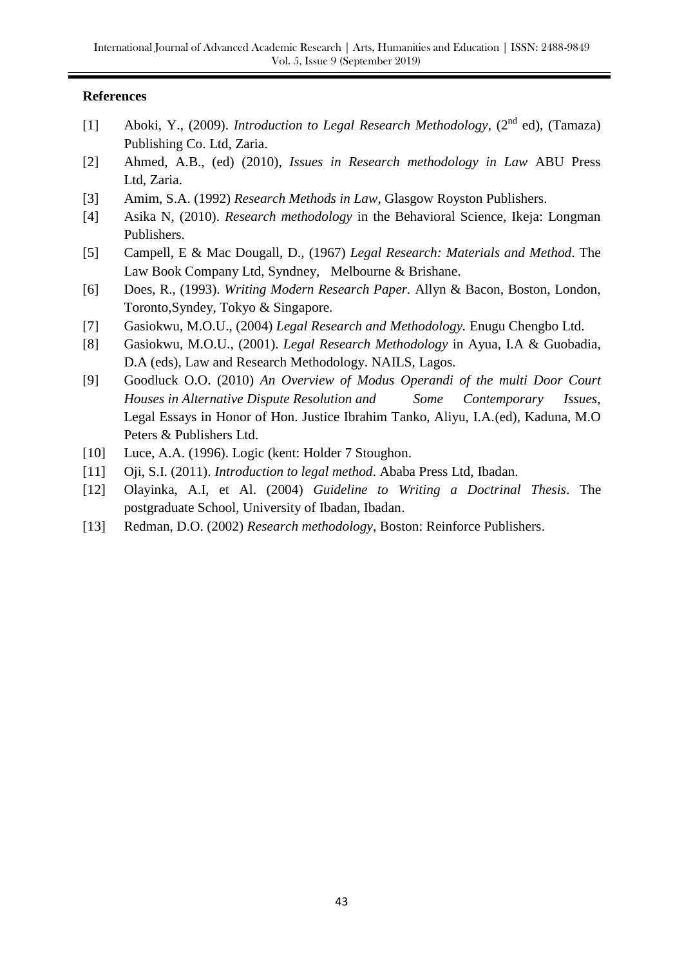#### **References**

- [1] Aboki, Y., (2009). *Introduction to Legal Research Methodology*, (2<sup>nd</sup> ed), (Tamaza) Publishing Co. Ltd, Zaria.
- [2] Ahmed, A.B., (ed) (2010), *Issues in Research methodology in Law* ABU Press Ltd, Zaria.
- [3] Amim, S.A. (1992) *Research Methods in Law*, Glasgow Royston Publishers.
- [4] Asika N, (2010). *Research methodology* in the Behavioral Science, Ikeja: Longman Publishers.
- [5] Campell, E & Mac Dougall, D., (1967) *Legal Research: Materials and Method*. The Law Book Company Ltd, Syndney, Melbourne & Brishane.
- [6] Does, R., (1993). *Writing Modern Research Paper.* Allyn & Bacon, Boston, London, Toronto,Syndey, Tokyo & Singapore.
- [7] Gasiokwu, M.O.U., (2004) *Legal Research and Methodology.* Enugu Chengbo Ltd.
- [8] Gasiokwu, M.O.U., (2001). *Legal Research Methodology* in Ayua, I.A & Guobadia, D.A (eds), Law and Research Methodology. NAILS, Lagos.
- [9] Goodluck O.O. (2010) *An Overview of Modus Operandi of the multi Door Court Houses in Alternative Dispute Resolution and Some Contemporary Issues,* Legal Essays in Honor of Hon. Justice Ibrahim Tanko, Aliyu, I.A.(ed), Kaduna, M.O Peters & Publishers Ltd.
- [10] Luce, A.A. (1996). Logic (kent: Holder 7 Stoughon.
- [11] Oji, S.I. (2011). *Introduction to legal method*. Ababa Press Ltd, Ibadan.
- [12] Olayinka, A.I, et Al. (2004) *Guideline to Writing a Doctrinal Thesis*. The postgraduate School, University of Ibadan, Ibadan.
- [13] Redman, D.O. (2002) *Research methodology*, Boston: Reinforce Publishers.